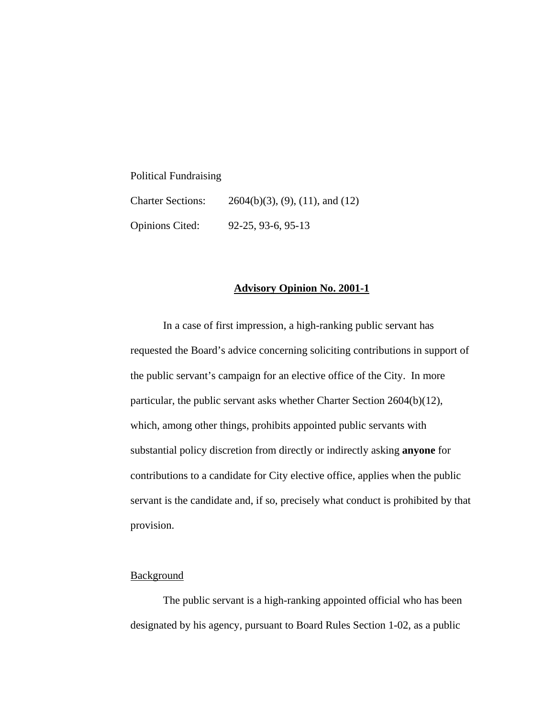Political Fundraising

| <b>Charter Sections:</b> | $2604(b)(3)$ , (9), (11), and (12) |
|--------------------------|------------------------------------|
| <b>Opinions Cited:</b>   | 92-25, 93-6, 95-13                 |

## **Advisory Opinion No. 2001-1**

 In a case of first impression, a high-ranking public servant has requested the Board's advice concerning soliciting contributions in support of the public servant's campaign for an elective office of the City. In more particular, the public servant asks whether Charter Section 2604(b)(12), which, among other things, prohibits appointed public servants with substantial policy discretion from directly or indirectly asking **anyone** for contributions to a candidate for City elective office, applies when the public servant is the candidate and, if so, precisely what conduct is prohibited by that provision.

## **Background**

 The public servant is a high-ranking appointed official who has been designated by his agency, pursuant to Board Rules Section 1-02, as a public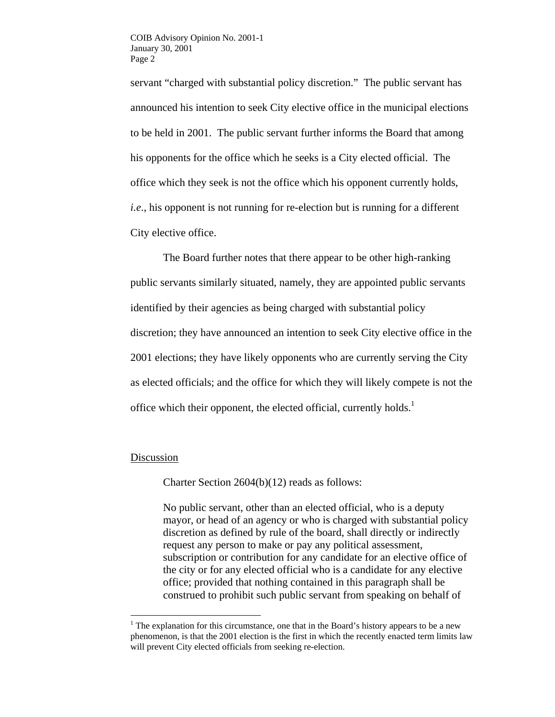servant "charged with substantial policy discretion." The public servant has announced his intention to seek City elective office in the municipal elections to be held in 2001. The public servant further informs the Board that among his opponents for the office which he seeks is a City elected official. The office which they seek is not the office which his opponent currently holds, *i.e*., his opponent is not running for re-election but is running for a different City elective office.

The Board further notes that there appear to be other high-ranking public servants similarly situated, namely, they are appointed public servants identified by their agencies as being charged with substantial policy discretion; they have announced an intention to seek City elective office in the 2001 elections; they have likely opponents who are currently serving the City as elected officials; and the office for which they will likely compete is not the office which their opponent, the elected official, currently holds. $<sup>1</sup>$ </sup>

## Discussion

 $\overline{a}$ 

Charter Section 2604(b)(12) reads as follows:

No public servant, other than an elected official, who is a deputy mayor, or head of an agency or who is charged with substantial policy discretion as defined by rule of the board, shall directly or indirectly request any person to make or pay any political assessment, subscription or contribution for any candidate for an elective office of the city or for any elected official who is a candidate for any elective office; provided that nothing contained in this paragraph shall be construed to prohibit such public servant from speaking on behalf of

<sup>&</sup>lt;sup>1</sup> The explanation for this circumstance, one that in the Board's history appears to be a new phenomenon, is that the 2001 election is the first in which the recently enacted term limits law will prevent City elected officials from seeking re-election.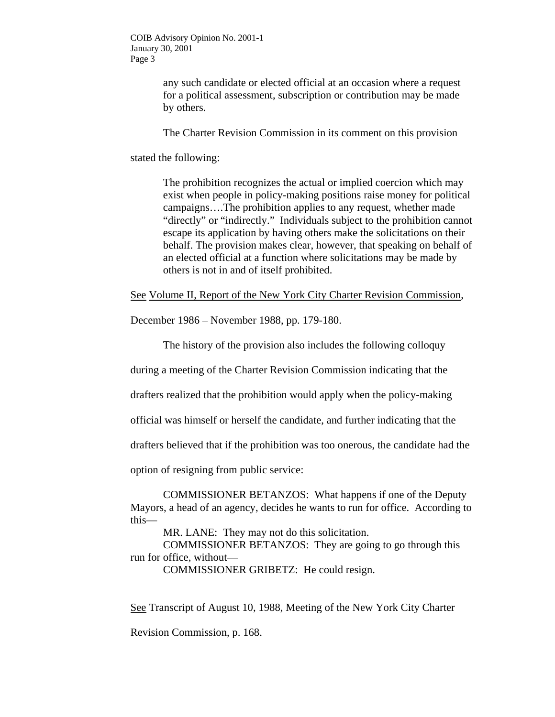COIB Advisory Opinion No. 2001-1 January 30, 2001 Page 3

> any such candidate or elected official at an occasion where a request for a political assessment, subscription or contribution may be made by others.

The Charter Revision Commission in its comment on this provision

stated the following:

The prohibition recognizes the actual or implied coercion which may exist when people in policy-making positions raise money for political campaigns….The prohibition applies to any request, whether made "directly" or "indirectly." Individuals subject to the prohibition cannot escape its application by having others make the solicitations on their behalf. The provision makes clear, however, that speaking on behalf of an elected official at a function where solicitations may be made by others is not in and of itself prohibited.

See Volume II, Report of the New York City Charter Revision Commission,

December 1986 – November 1988, pp. 179-180.

The history of the provision also includes the following colloquy

during a meeting of the Charter Revision Commission indicating that the

drafters realized that the prohibition would apply when the policy-making

official was himself or herself the candidate, and further indicating that the

drafters believed that if the prohibition was too onerous, the candidate had the

option of resigning from public service:

COMMISSIONER BETANZOS: What happens if one of the Deputy Mayors, a head of an agency, decides he wants to run for office. According to this—

MR. LANE: They may not do this solicitation.

COMMISSIONER BETANZOS: They are going to go through this run for office, without—

COMMISSIONER GRIBETZ: He could resign.

See Transcript of August 10, 1988, Meeting of the New York City Charter

Revision Commission, p. 168.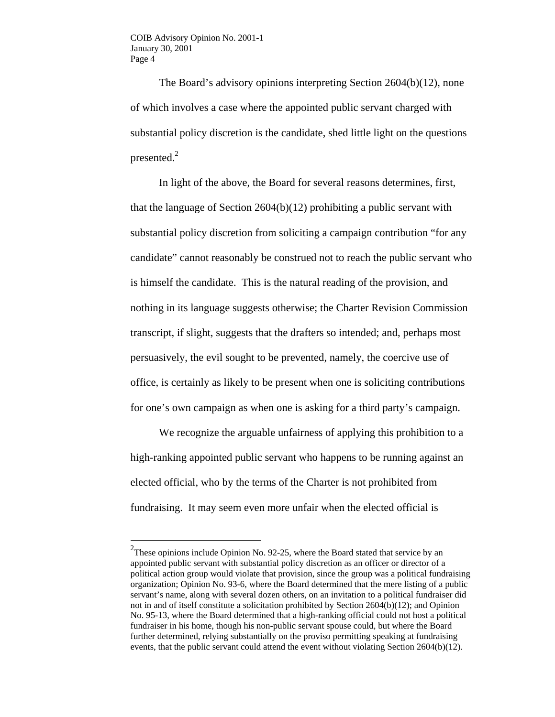$\overline{a}$ 

The Board's advisory opinions interpreting Section 2604(b)(12), none of which involves a case where the appointed public servant charged with substantial policy discretion is the candidate, shed little light on the questions presented. $2$ 

In light of the above, the Board for several reasons determines, first, that the language of Section 2604(b)(12) prohibiting a public servant with substantial policy discretion from soliciting a campaign contribution "for any candidate" cannot reasonably be construed not to reach the public servant who is himself the candidate. This is the natural reading of the provision, and nothing in its language suggests otherwise; the Charter Revision Commission transcript, if slight, suggests that the drafters so intended; and, perhaps most persuasively, the evil sought to be prevented, namely, the coercive use of office, is certainly as likely to be present when one is soliciting contributions for one's own campaign as when one is asking for a third party's campaign.

We recognize the arguable unfairness of applying this prohibition to a high-ranking appointed public servant who happens to be running against an elected official, who by the terms of the Charter is not prohibited from fundraising. It may seem even more unfair when the elected official is

<sup>&</sup>lt;sup>2</sup>These opinions include Opinion No. 92-25, where the Board stated that service by an appointed public servant with substantial policy discretion as an officer or director of a political action group would violate that provision, since the group was a political fundraising organization; Opinion No. 93-6, where the Board determined that the mere listing of a public servant's name, along with several dozen others, on an invitation to a political fundraiser did not in and of itself constitute a solicitation prohibited by Section 2604(b)(12); and Opinion No. 95-13, where the Board determined that a high-ranking official could not host a political fundraiser in his home, though his non-public servant spouse could, but where the Board further determined, relying substantially on the proviso permitting speaking at fundraising events, that the public servant could attend the event without violating Section 2604(b)(12).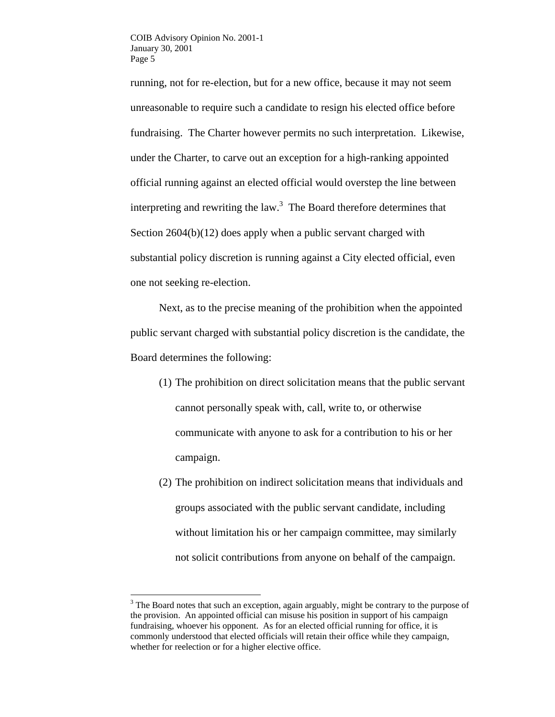running, not for re-election, but for a new office, because it may not seem unreasonable to require such a candidate to resign his elected office before fundraising. The Charter however permits no such interpretation. Likewise, under the Charter, to carve out an exception for a high-ranking appointed official running against an elected official would overstep the line between interpreting and rewriting the law. $3$  The Board therefore determines that Section 2604(b)(12) does apply when a public servant charged with substantial policy discretion is running against a City elected official, even one not seeking re-election.

Next, as to the precise meaning of the prohibition when the appointed public servant charged with substantial policy discretion is the candidate, the Board determines the following:

- (1) The prohibition on direct solicitation means that the public servant cannot personally speak with, call, write to, or otherwise communicate with anyone to ask for a contribution to his or her campaign.
- (2) The prohibition on indirect solicitation means that individuals and groups associated with the public servant candidate, including without limitation his or her campaign committee, may similarly not solicit contributions from anyone on behalf of the campaign.

 $\overline{a}$ 

 $3$  The Board notes that such an exception, again arguably, might be contrary to the purpose of the provision. An appointed official can misuse his position in support of his campaign fundraising, whoever his opponent. As for an elected official running for office, it is commonly understood that elected officials will retain their office while they campaign, whether for reelection or for a higher elective office.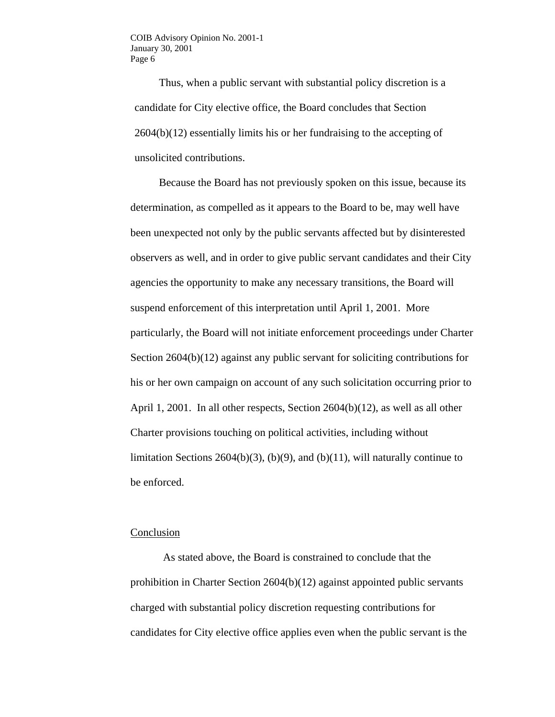Thus, when a public servant with substantial policy discretion is a candidate for City elective office, the Board concludes that Section 2604(b)(12) essentially limits his or her fundraising to the accepting of unsolicited contributions.

 Because the Board has not previously spoken on this issue, because its determination, as compelled as it appears to the Board to be, may well have been unexpected not only by the public servants affected but by disinterested observers as well, and in order to give public servant candidates and their City agencies the opportunity to make any necessary transitions, the Board will suspend enforcement of this interpretation until April 1, 2001. More particularly, the Board will not initiate enforcement proceedings under Charter Section 2604(b)(12) against any public servant for soliciting contributions for his or her own campaign on account of any such solicitation occurring prior to April 1, 2001. In all other respects, Section 2604(b)(12), as well as all other Charter provisions touching on political activities, including without limitation Sections 2604(b)(3), (b)(9), and (b)(11), will naturally continue to be enforced.

## Conclusion

As stated above, the Board is constrained to conclude that the prohibition in Charter Section 2604(b)(12) against appointed public servants charged with substantial policy discretion requesting contributions for candidates for City elective office applies even when the public servant is the